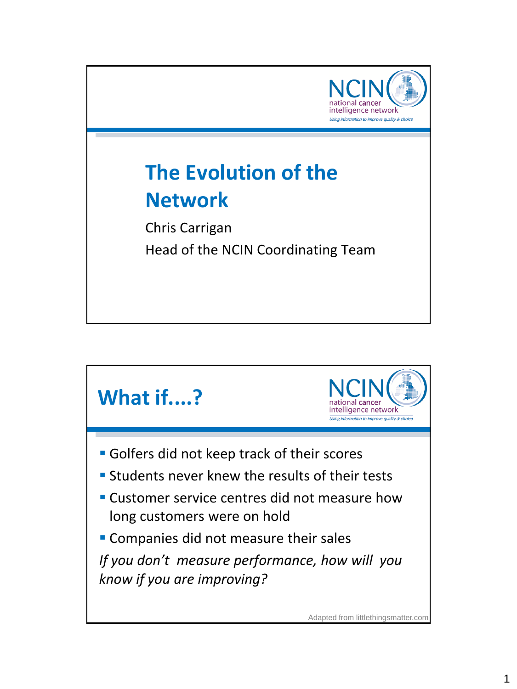

## **The Evolution of the Network**

Chris Carrigan Head of the NCIN Coordinating Team



Adapted from littlethingsmatter.com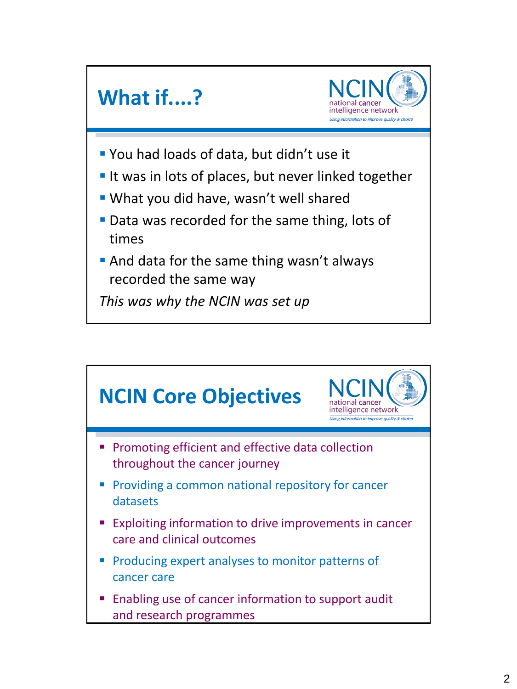

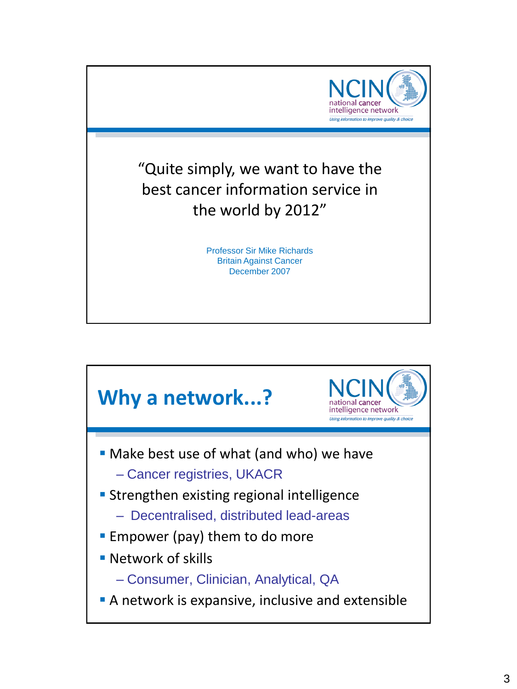

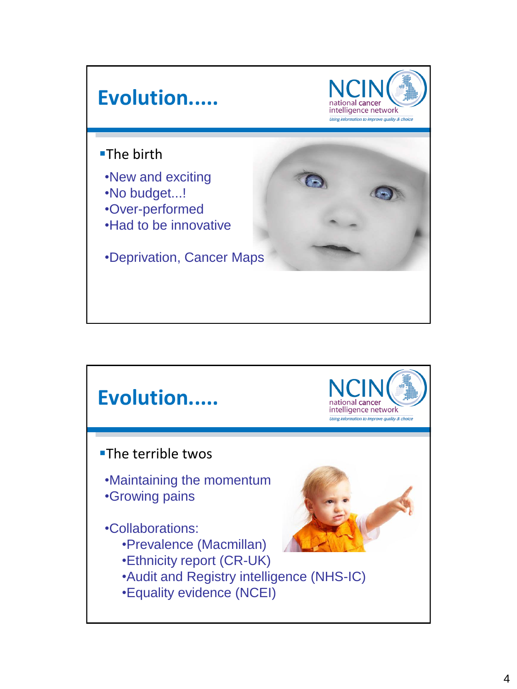

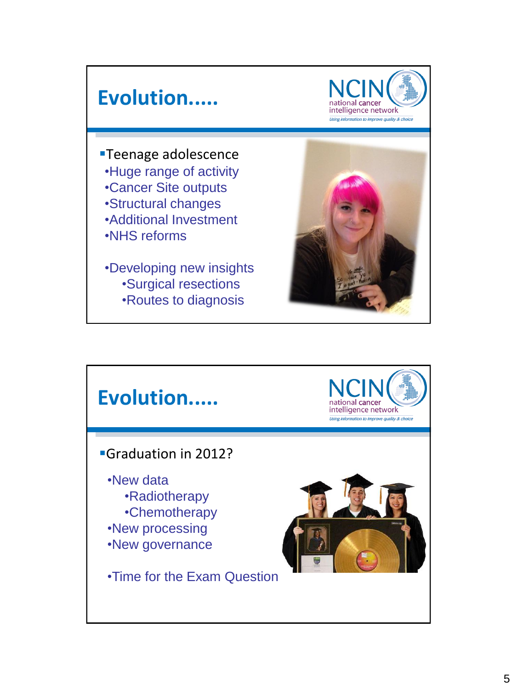## **Evolution.....**



**Teenage adolescence** •Huge range of activity •Cancer Site outputs •Structural changes •Additional Investment •NHS reforms

•Developing new insights •Surgical resections •Routes to diagnosis